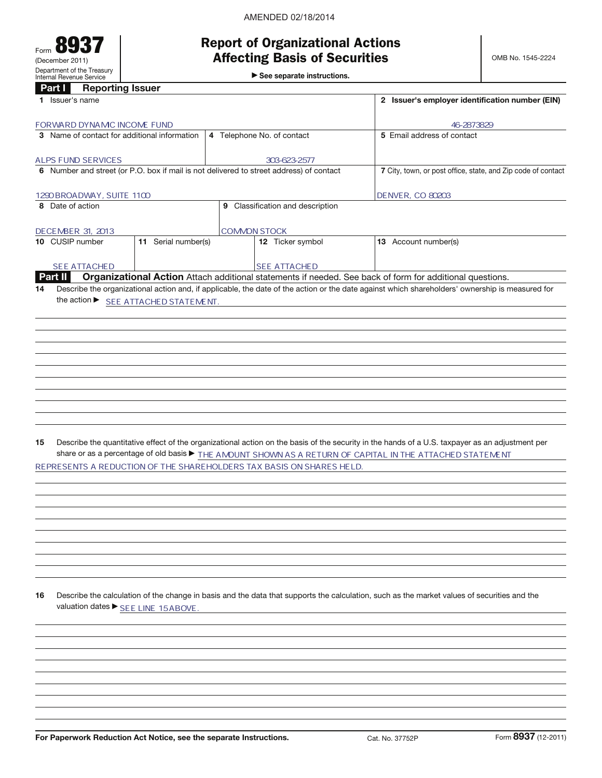| Form                                                   | w |  |  |  |  |  |
|--------------------------------------------------------|---|--|--|--|--|--|
| (December 2011)                                        |   |  |  |  |  |  |
| Department of the Treasury<br>Internal Revenue Service |   |  |  |  |  |  |

# Report of Organizational Actions Affecting Basis of Securities

 $\blacktriangleright$  See separate instructions.

| Part I            | <b>Reporting Issuer</b>    |                                                                                         |                                                                      |                                                                                                                                                 |
|-------------------|----------------------------|-----------------------------------------------------------------------------------------|----------------------------------------------------------------------|-------------------------------------------------------------------------------------------------------------------------------------------------|
| 1 Issuer's name   |                            |                                                                                         |                                                                      | 2 Issuer's employer identification number (EIN)                                                                                                 |
|                   | FORWARD DYNAMC INCOME FUND |                                                                                         |                                                                      | 46-2873829                                                                                                                                      |
|                   |                            | 3 Name of contact for additional information                                            | 5 Email address of contact                                           |                                                                                                                                                 |
|                   |                            |                                                                                         | 4 Telephone No. of contact                                           |                                                                                                                                                 |
|                   | <b>ALPS FUND SERVICES</b>  |                                                                                         |                                                                      |                                                                                                                                                 |
|                   |                            | 6 Number and street (or P.O. box if mail is not delivered to street address) of contact | 7 City, town, or post office, state, and Zip code of contact         |                                                                                                                                                 |
|                   |                            |                                                                                         |                                                                      |                                                                                                                                                 |
|                   | 1290 BROADWAY, SUITE 1100  |                                                                                         |                                                                      | <b>DENVER, CO 80203</b>                                                                                                                         |
| 8 Date of action  |                            |                                                                                         | 9 Classification and description                                     |                                                                                                                                                 |
|                   |                            |                                                                                         |                                                                      |                                                                                                                                                 |
| DECEMBER 31, 2013 |                            |                                                                                         | <b>COMMON STOCK</b>                                                  |                                                                                                                                                 |
| 10 CUSIP number   |                            | 11 Serial number(s)                                                                     | 12 Ticker symbol                                                     | 13 Account number(s)                                                                                                                            |
|                   |                            |                                                                                         |                                                                      |                                                                                                                                                 |
| Part II           | <b>SEE ATTACHED</b>        |                                                                                         | <b>SEE ATTACHED</b>                                                  | Organizational Action Attach additional statements if needed. See back of form for additional questions.                                        |
| 14                |                            |                                                                                         |                                                                      | Describe the organizational action and, if applicable, the date of the action or the date against which shareholders' ownership is measured for |
|                   |                            | the action ▶ SEE ATTACHED STATEMENT.                                                    |                                                                      |                                                                                                                                                 |
|                   |                            |                                                                                         |                                                                      |                                                                                                                                                 |
|                   |                            |                                                                                         |                                                                      |                                                                                                                                                 |
|                   |                            |                                                                                         |                                                                      |                                                                                                                                                 |
|                   |                            |                                                                                         |                                                                      |                                                                                                                                                 |
|                   |                            |                                                                                         |                                                                      |                                                                                                                                                 |
|                   |                            |                                                                                         |                                                                      |                                                                                                                                                 |
|                   |                            |                                                                                         |                                                                      |                                                                                                                                                 |
|                   |                            |                                                                                         |                                                                      |                                                                                                                                                 |
|                   |                            |                                                                                         |                                                                      |                                                                                                                                                 |
|                   |                            |                                                                                         |                                                                      |                                                                                                                                                 |
|                   |                            |                                                                                         |                                                                      |                                                                                                                                                 |
|                   |                            |                                                                                         |                                                                      |                                                                                                                                                 |
| 15                |                            |                                                                                         |                                                                      | Describe the quantitative effect of the organizational action on the basis of the security in the hands of a U.S. taxpayer as an adjustment per |
|                   |                            |                                                                                         |                                                                      | share or as a percentage of old basis $\blacktriangleright$ THE AMOUNT SHOWN AS A RETURN OF CAPITAL IN THE ATTACHED STATEMENT                   |
|                   |                            |                                                                                         | REPRESENTS A REDUCTION OF THE SHAREHOLDERS TAX BASIS ON SHARES HELD. |                                                                                                                                                 |
|                   |                            |                                                                                         |                                                                      |                                                                                                                                                 |
|                   |                            |                                                                                         |                                                                      |                                                                                                                                                 |
|                   |                            |                                                                                         |                                                                      |                                                                                                                                                 |
|                   |                            |                                                                                         |                                                                      |                                                                                                                                                 |
|                   |                            |                                                                                         |                                                                      |                                                                                                                                                 |
|                   |                            |                                                                                         |                                                                      |                                                                                                                                                 |
|                   |                            |                                                                                         |                                                                      |                                                                                                                                                 |
|                   |                            |                                                                                         |                                                                      |                                                                                                                                                 |
|                   |                            |                                                                                         |                                                                      |                                                                                                                                                 |
|                   |                            |                                                                                         |                                                                      |                                                                                                                                                 |
| 16                |                            |                                                                                         |                                                                      | Describe the calculation of the change in basis and the data that supports the calculation, such as the market values of securities and the     |
|                   |                            | valuation dates ▶ SEE LINE 15ABOVE.                                                     |                                                                      |                                                                                                                                                 |
|                   |                            |                                                                                         |                                                                      |                                                                                                                                                 |
|                   |                            |                                                                                         |                                                                      |                                                                                                                                                 |
|                   |                            |                                                                                         |                                                                      |                                                                                                                                                 |
|                   |                            |                                                                                         |                                                                      |                                                                                                                                                 |
|                   |                            |                                                                                         |                                                                      |                                                                                                                                                 |
|                   |                            |                                                                                         |                                                                      |                                                                                                                                                 |
|                   |                            |                                                                                         |                                                                      |                                                                                                                                                 |
|                   |                            |                                                                                         |                                                                      |                                                                                                                                                 |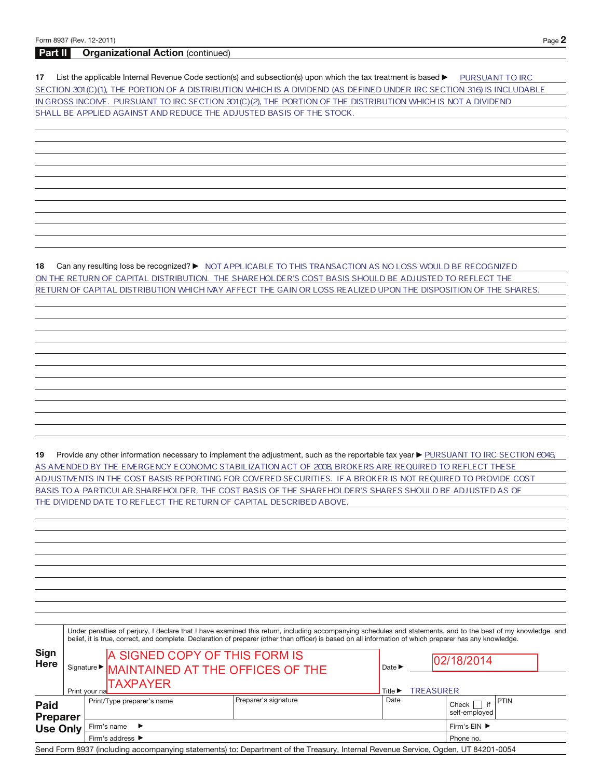### Part II Organizational Action (continued)

17 List the applicable Internal Revenue Code section(s) and subsection(s) upon which the tax treatment is based  $\blacktriangleright$ PURSUANT TO IRC SECTION 301(C)(1), THE PORTION OF A DISTRIBUTION WHICH IS A DIVIDEND (AS DEFINED UNDER IRC SECTION 316) IS INCLUDABLE IN GROSS INCOME. PURSUANT TO IRC SECTION 301(C)(2), THE PORTION OF THE DISTRIBUTION WHICH IS NOT A DIVIDEND SHALL BE APPLIED AGAINST AND REDUCE THE ADJUSTED BASIS OF THE STOCK.

**18** Can any resulting loss be recognized? ▶ MOT APPLICABLE TO THIS TRANSACTION AS NO LOSS WOULD BE RECOGNIZED ON THE RETURN OF CAPITAL DISTRIBUTION. THE SHAREHOLDER'S COST BASIS SHOULD BE ADJUSTED TO REFLECT THE RETURN OF CAPITAL DISTRIBUTION WHICH MAY AFFECT THE GAIN OR LOSS REALIZED UPON THE DISPOSITION OF THE SHARES.

19 Provide any other information necessary to implement the adjustment, such as the reportable tax year ▶ PURSUANT TO IRC SECTION 6045 AS AMENDED BY THE EMERGENCY ECONOMIC STABILIZATION ACT OF 2008 BROKERS ARE REQUIRED TO REFLECT THESE ADJUSTMENTS IN THE COST BASIS REPORTING FOR COVERED SECURITIES. IF A BROKER IS NOT REQUIRED TO PROVIDE COST BASIS TO A PARTICULAR SHAREHOLDER, THE COST BASIS OF THE SHAREHOLDER'S SHARES SHOULD BE ADJUSTED AS OF THE DIVIDEND DATE TO REFLECT THE RETURN OF CAPITAL DESCRIBED ABOVE.

Sign Here Under penalties of perjury, I declare that I have examined this return, including accompanying schedules and statements, and to the best of my knowledge and belief, it is true, correct, and complete. Declaration of preparer (other than officer) is based on all information of which preparer has any knowledge. Signature  $\blacktriangleright$   $\parallel$ MAINTAINEN AT THE OFFICES OF THE  $\blacksquare$ Print your name a Title a Paid Preparer Use Only Print/Type preparer's name Preparer's signature Date Date Check if self-employed PTIN Firm's name  $\blacktriangleright$ Firm's address  $\blacktriangleright$ Firm's  $EIN$ Phone no. BARA TOLLET TREASURER TREASURER -  - - \_\_\_\_\_\_\_\_ 102/18/2014

Send Form 8937 (including accompanying statements) to: Department of the Treasury, Internal Revenue Service, Ogden, UT 84201-0054